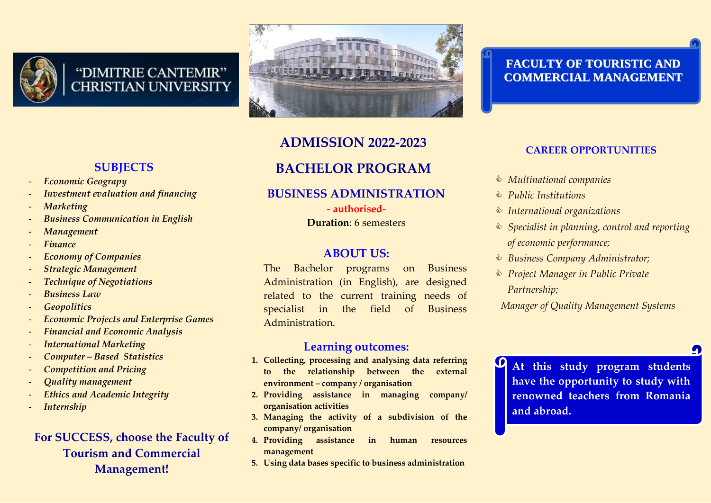

# "DIMITRIE CANTEMIR" **CHRISTIAN UNIVERSITY**



# **ADMISSION 2022-2023**

# **BACHELOR PROGRAM**

# **BUSINESS ADMINISTRATION**

**- authorised-Duration**: 6 semesters

# **ABOUT US:**

The Bachelor programs on Business Administration (in English), are designed related to the current training needs of specialist in the field of Business Administration.

## **Learning outcomes:**

- **1. Collecting, processing and analysing data referring to the relationship between the external environment – company / organisation**
- **2. Providing assistance in managing company/ organisation activities**
- **3. Managing the activity of a subdivision of the company/ organisation**
- **4. Providing assistance in human resources management**
- **5. Using data bases specific to business administration**

## **FACULTY OF TOURISTIC AND COMMERCIAL MANAGEMENT**

## **CAREER OPPORTUNITIES**

- *Multinational companies*
- *Public Institutions*

O

- *International organizations*
- *Specialist in planning, control and reporting of economic performance;*
- *Business Company Administrator;*
- *Project Manager in Public Private Partnership;*

*Manager of Quality Management Systems*

**At this study program students have the opportunity to study with renowned teachers from Romania and abroad.**

## **SUBJECTS**

- *Economic Geograpy*
- *Investment evaluation and financing*
- *Marketing*
- *Business Communication in English*
- *Management*
- *Finance*
- *Economy of Companies*
- *Strategic Management*
- *Technique of Negotiations*
- *Business Law*
- *Geopolitics*
- *Economic Projects and Enterprise Games*
- *Financial and Economic Analysis*
- *International Marketing*
- *Computer – Based Statistics*
- *Competition and Pricing*
- *Quality management*
- *Ethics and Academic Integrity*
- *Internship*

# **For SUCCESS, choose the Faculty of Tourism and Commercial Management!**